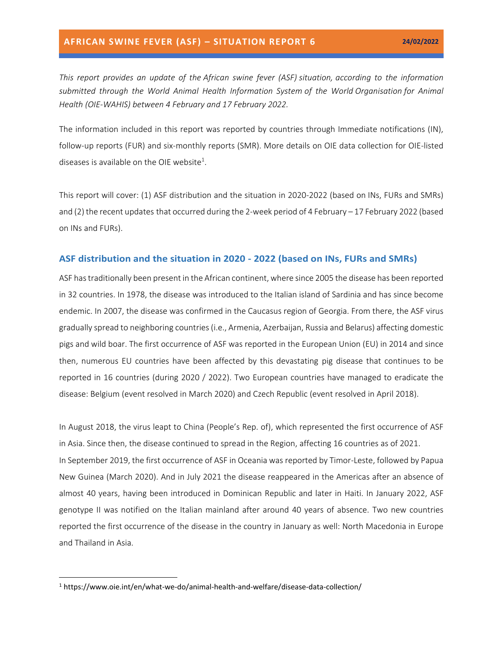*This report provides an update of the African swine fever (ASF) situation, according to the information submitted through the World Animal Health Information System of the World Organisation for Animal Health (OIE-WAHIS) between 4 February and 17 February 2022.*

The information included in this report was reported by countries through Immediate notifications (IN), follow-up reports (FUR) and six-monthly reports (SMR). More details on OIE data collection for OIE-listed diseases is available on the OIE website<sup>1</sup>.

This report will cover: (1) ASF distribution and the situation in 2020-2022 (based on INs, FURs and SMRs) and (2) the recent updates that occurred during the 2-week period of 4 February – 17 February 2022 (based on INs and FURs).

#### **ASF distribution and the situation in 2020 - 2022 (based on INs, FURs and SMRs)**

ASF has traditionally been present in the African continent, where since 2005 the disease has been reported in 32 countries. In 1978, the disease was introduced to the Italian island of Sardinia and has since become endemic. In 2007, the disease was confirmed in the Caucasus region of Georgia. From there, the ASF virus gradually spread to neighboring countries (i.e., Armenia, Azerbaijan, Russia and Belarus) affecting domestic pigs and wild boar. The first occurrence of ASF was reported in the European Union (EU) in 2014 and since then, numerous EU countries have been affected by this devastating pig disease that continues to be reported in 16 countries (during 2020 / 2022). Two European countries have managed to eradicate the disease: Belgium (event resolved in March 2020) and Czech Republic (event resolved in April 2018).

In August 2018, the virus leapt to China (People's Rep. of), which represented the first occurrence of ASF in Asia. Since then, the disease continued to spread in the Region, affecting 16 countries as of 2021. In September 2019, the first occurrence of ASF in Oceania was reported by Timor-Leste, followed by Papua New Guinea (March 2020). And in July 2021 the disease reappeared in the Americas after an absence of almost 40 years, having been introduced in Dominican Republic and later in Haiti. In January 2022, ASF genotype II was notified on the Italian mainland after around 40 years of absence. Two new countries reported the first occurrence of the disease in the country in January as well: North Macedonia in Europe and Thailand in Asia.

<sup>1</sup> https://www.oie.int/en/what-we-do/animal-health-and-welfare/disease-data-collection/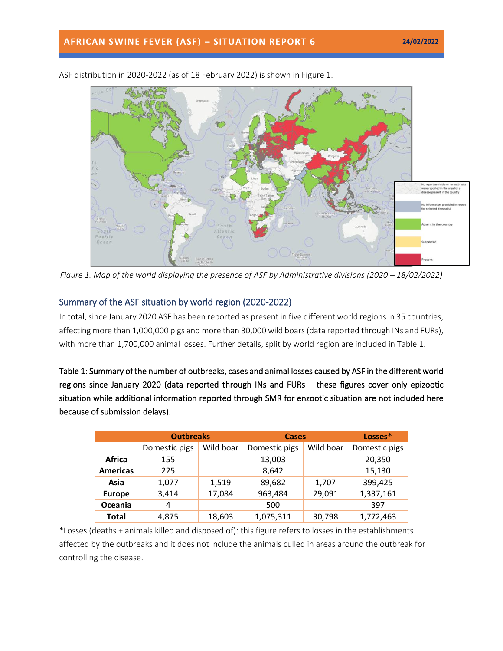

ASF distribution in 2020-2022 (as of 18 February 2022) is shown in Figure 1.

*Figure 1. Map of the world displaying the presence of ASF by Administrative divisions (2020 – 18/02/2022)* 

## Summary of the ASF situation by world region (2020-2022)

In total, since January 2020 ASF has been reported as present in five different world regions in 35 countries, affecting more than 1,000,000 pigs and more than 30,000 wild boars(data reported through INs and FURs), with more than 1,700,000 animal losses. Further details, split by world region are included in Table 1.

Table 1: Summary of the number of outbreaks, cases and animal losses caused by ASF in the different world regions since January 2020 (data reported through INs and FURs – these figures cover only epizootic situation while additional information reported through SMR for enzootic situation are not included here because of submission delays).

|                 | <b>Outbreaks</b> |           | <b>Cases</b>  |           | Losses*       |
|-----------------|------------------|-----------|---------------|-----------|---------------|
|                 | Domestic pigs    | Wild boar | Domestic pigs | Wild boar | Domestic pigs |
| Africa          | 155              |           | 13,003        |           | 20,350        |
| <b>Americas</b> | 225              |           | 8,642         |           | 15,130        |
| Asia            | 1,077            | 1,519     | 89,682        | 1,707     | 399,425       |
| <b>Europe</b>   | 3,414            | 17,084    | 963,484       | 29,091    | 1,337,161     |
| Oceania         | 4                |           | 500           |           | 397           |
| <b>Total</b>    | 4,875            | 18,603    | 1,075,311     | 30,798    | 1,772,463     |

\*Losses (deaths + animals killed and disposed of): this figure refers to losses in the establishments affected by the outbreaks and it does not include the animals culled in areas around the outbreak for controlling the disease.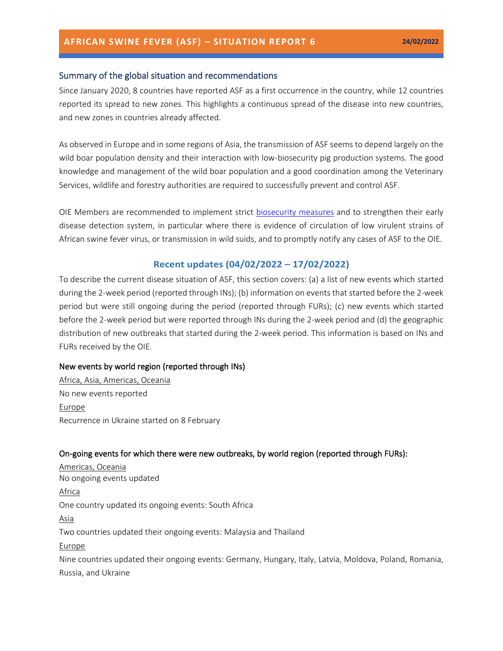## Summary of the global situation and recommendations

Since January 2020, 8 countries have reported ASF as a first occurrence in the country, while 12 countries reported its spread to new zones. This highlights a continuous spread of the disease into new countries, and new zones in countries already affected.

As observed in Europe and in some regions of Asia, the transmission of ASF seems to depend largely on the wild boar population density and their interaction with low-biosecurity pig production systems. The good knowledge and management of the wild boar population and a good coordination among the Veterinary Services, wildlife and forestry authorities are required to successfully prevent and control ASF.

OIE Members are recommended to implement strict [biosecurity measures](https://trello.com/c/jbPlhbq6/55-infographic-en-es-fr-ru-ch) and to strengthen their early disease detection system, in particular where there is evidence of circulation of low virulent strains of African swine fever virus, or transmission in wild suids, and to promptly notify any cases of ASF to the OIE.

## **Recent updates (04/02/2022 – 17/02/2022)**

To describe the current disease situation of ASF, this section covers: (a) a list of new events which started during the 2-week period (reported through INs); (b) information on events that started before the 2-week period but were still ongoing during the period (reported through FURs); (c) new events which started before the 2-week period but were reported through INs during the 2-week period and (d) the geographic distribution of new outbreaks that started during the 2-week period. This information is based on INs and FURs received by the OIE.

### New events by world region (reported through INs)

Africa, Asia, Americas, Oceania No new events reported Europe Recurrence in Ukraine started on 8 February

## On-going events for which there were new outbreaks, by world region (reported through FURs):

Americas, Oceania No ongoing events updated Africa One country updated its ongoing events: South Africa Asia Two countries updated their ongoing events: Malaysia and Thailand Europe Nine countries updated their ongoing events: Germany, Hungary, Italy, Latvia, Moldova, Poland, Romania, Russia, and Ukraine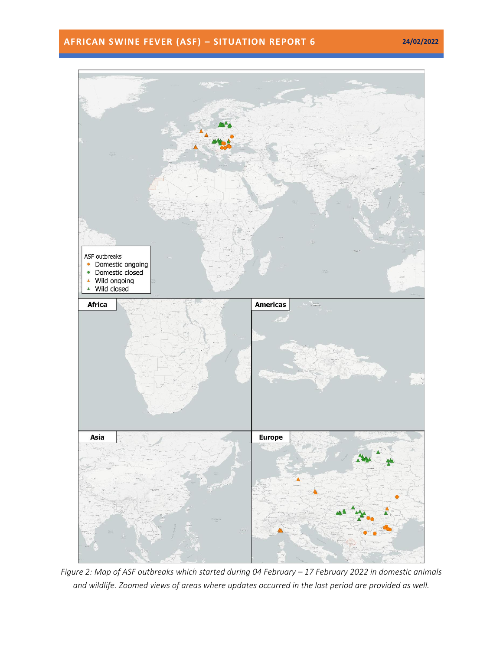# **AFRICAN SWINE FEVER (ASF) – SITUATION REPORT 6 24/02/2022**



*Figure 2: Map of ASF outbreaks which started during 04 February – 17 February 2022 in domestic animals and wildlife. Zoomed views of areas where updates occurred in the last period are provided as well.*